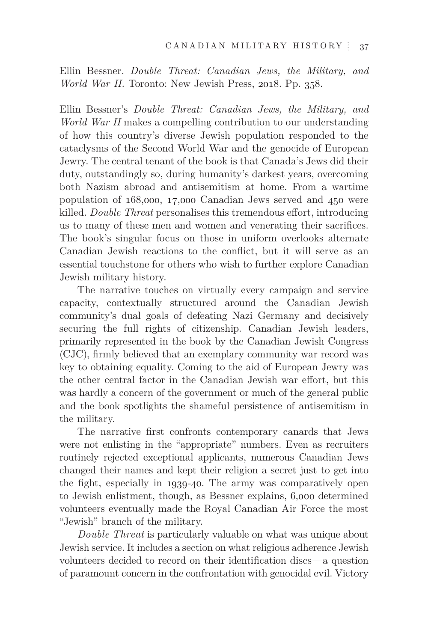Ellin Bessner. *Double Threat: Canadian Jews, the Military, and World War II.* Toronto: New Jewish Press, 2018. Pp. 358.

Ellin Bessner's *Double Threat: Canadian Jews, the Military, and World War II* makes a compelling contribution to our understanding of how this country's diverse Jewish population responded to the cataclysms of the Second World War and the genocide of European Jewry. The central tenant of the book is that Canada's Jews did their duty, outstandingly so, during humanity's darkest years, overcoming both Nazism abroad and antisemitism at home. From a wartime population of 168,000, 17,000 Canadian Jews served and 450 were killed. *Double Threat* personalises this tremendous effort, introducing us to many of these men and women and venerating their sacrifices. The book's singular focus on those in uniform overlooks alternate Canadian Jewish reactions to the conflict, but it will serve as an essential touchstone for others who wish to further explore Canadian Jewish military history.

The narrative touches on virtually every campaign and service capacity, contextually structured around the Canadian Jewish community's dual goals of defeating Nazi Germany and decisively securing the full rights of citizenship. Canadian Jewish leaders, primarily represented in the book by the Canadian Jewish Congress (CJC), firmly believed that an exemplary community war record was key to obtaining equality. Coming to the aid of European Jewry was the other central factor in the Canadian Jewish war effort, but this was hardly a concern of the government or much of the general public and the book spotlights the shameful persistence of antisemitism in the military.

The narrative first confronts contemporary canards that Jews were not enlisting in the "appropriate" numbers. Even as recruiters routinely rejected exceptional applicants, numerous Canadian Jews changed their names and kept their religion a secret just to get into the fight, especially in 1939-40. The army was comparatively open to Jewish enlistment, though, as Bessner explains, 6,000 determined volunteers eventually made the Royal Canadian Air Force the most "Jewish" branch of the military.

*Double Threat* is particularly valuable on what was unique about Jewish service. It includes a section on what religious adherence Jewish volunteers decided to record on their identification discs—a question of paramount concern in the confrontation with genocidal evil. Victory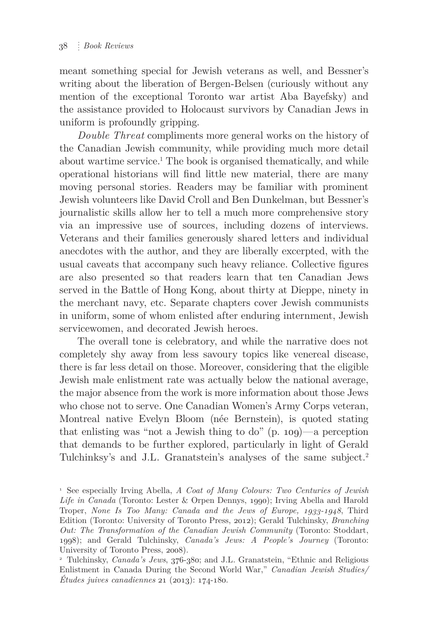meant something special for Jewish veterans as well, and Bessner's writing about the liberation of Bergen-Belsen (curiously without any mention of the exceptional Toronto war artist Aba Bayefsky) and the assistance provided to Holocaust survivors by Canadian Jews in uniform is profoundly gripping.

*Double Threat* compliments more general works on the history of the Canadian Jewish community, while providing much more detail about wartime service.<sup>1</sup> The book is organised thematically, and while operational historians will find little new material, there are many moving personal stories. Readers may be familiar with prominent Jewish volunteers like David Croll and Ben Dunkelman, but Bessner's journalistic skills allow her to tell a much more comprehensive story via an impressive use of sources, including dozens of interviews. Veterans and their families generously shared letters and individual anecdotes with the author, and they are liberally excerpted, with the usual caveats that accompany such heavy reliance. Collective figures are also presented so that readers learn that ten Canadian Jews served in the Battle of Hong Kong, about thirty at Dieppe, ninety in the merchant navy, etc. Separate chapters cover Jewish communists in uniform, some of whom enlisted after enduring internment, Jewish servicewomen, and decorated Jewish heroes.

The overall tone is celebratory, and while the narrative does not completely shy away from less savoury topics like venereal disease, there is far less detail on those. Moreover, considering that the eligible Jewish male enlistment rate was actually below the national average, the major absence from the work is more information about those Jews who chose not to serve. One Canadian Women's Army Corps veteran, Montreal native Evelyn Bloom (née Bernstein), is quoted stating that enlisting was "not a Jewish thing to do" (p. 109)—a perception that demands to be further explored, particularly in light of Gerald Tulchinksy's and J.L. Granatstein's analyses of the same subject.2

<sup>1</sup> See especially Irving Abella, *A Coat of Many Colours: Two Centuries of Jewish Life in Canada* (Toronto: Lester & Orpen Dennys, 1990); Irving Abella and Harold Troper, *None Is Too Many: Canada and the Jews of Europe, 1933-1948*, Third Edition (Toronto: University of Toronto Press, 2012); Gerald Tulchinsky, *Branching Out: The Transformation of the Canadian Jewish Community* (Toronto: Stoddart, 1998); and Gerald Tulchinsky, *Canada's Jews: A People's Journey* (Toronto: University of Toronto Press, 2008).

<sup>2</sup> Tulchinsky, *Canada's Jews*, 376-380; and J.L. Granatstein, "Ethnic and Religious Enlistment in Canada During the Second World War," *Canadian Jewish Studies/ Études juives canadiennes* 21 (2013): 174-180.